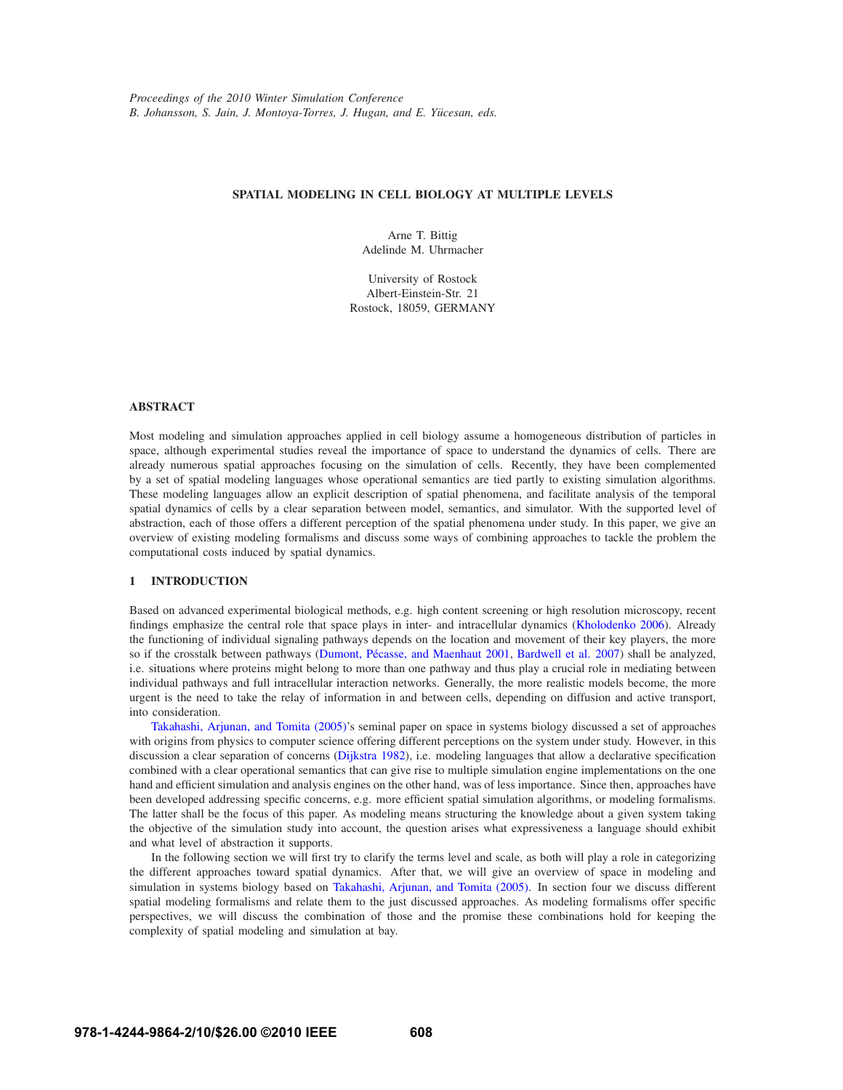# **SPATIAL MODELING IN CELL BIOLOGY AT MULTIPLE LEVELS**

Arne T. Bittig Adelinde M. Uhrmacher

University of Rostock Albert-Einstein-Str. 21 Rostock, 18059, GERMANY

# **ABSTRACT**

Most modeling and simulation approaches applied in cell biology assume a homogeneous distribution of particles in space, although experimental studies reveal the importance of space to understand the dynamics of cells. There are already numerous spatial approaches focusing on the simulation of cells. Recently, they have been complemented by a set of spatial modeling languages whose operational semantics are tied partly to existing simulation algorithms. These modeling languages allow an explicit description of spatial phenomena, and facilitate analysis of the temporal spatial dynamics of cells by a clear separation between model, semantics, and simulator. With the supported level of abstraction, each of those offers a different perception of the spatial phenomena under study. In this paper, we give an overview of existing modeling formalisms and discuss some ways of combining approaches to tackle the problem the computational costs induced by spatial dynamics.

# **1 INTRODUCTION**

Based on advanced experimental biological methods, e.g. high content screening or high resolution microscopy, recent findings emphasize the central role that space plays in inter- and intracellular dynamics (Kholodenko 2006). Already the functioning of individual signaling pathways depends on the location and movement of their key players, the more so if the crosstalk between pathways (Dumont, Pécasse, and Maenhaut 2001, Bardwell et al. 2007) shall be analyzed, i.e. situations where proteins might belong to more than one pathway and thus play a crucial role in mediating between individual pathways and full intracellular interaction networks. Generally, the more realistic models become, the more urgent is the need to take the relay of information in and between cells, depending on diffusion and active transport, into consideration.

Takahashi, Arjunan, and Tomita (2005)'s seminal paper on space in systems biology discussed a set of approaches with origins from physics to computer science offering different perceptions on the system under study. However, in this discussion a clear separation of concerns (Dijkstra 1982), i.e. modeling languages that allow a declarative specification combined with a clear operational semantics that can give rise to multiple simulation engine implementations on the one hand and efficient simulation and analysis engines on the other hand, was of less importance. Since then, approaches have been developed addressing specific concerns, e.g. more efficient spatial simulation algorithms, or modeling formalisms. The latter shall be the focus of this paper. As modeling means structuring the knowledge about a given system taking the objective of the simulation study into account, the question arises what expressiveness a language should exhibit and what level of abstraction it supports.

In the following section we will first try to clarify the terms level and scale, as both will play a role in categorizing the different approaches toward spatial dynamics. After that, we will give an overview of space in modeling and simulation in systems biology based on Takahashi, Arjunan, and Tomita (2005). In section four we discuss different spatial modeling formalisms and relate them to the just discussed approaches. As modeling formalisms offer specific perspectives, we will discuss the combination of those and the promise these combinations hold for keeping the complexity of spatial modeling and simulation at bay.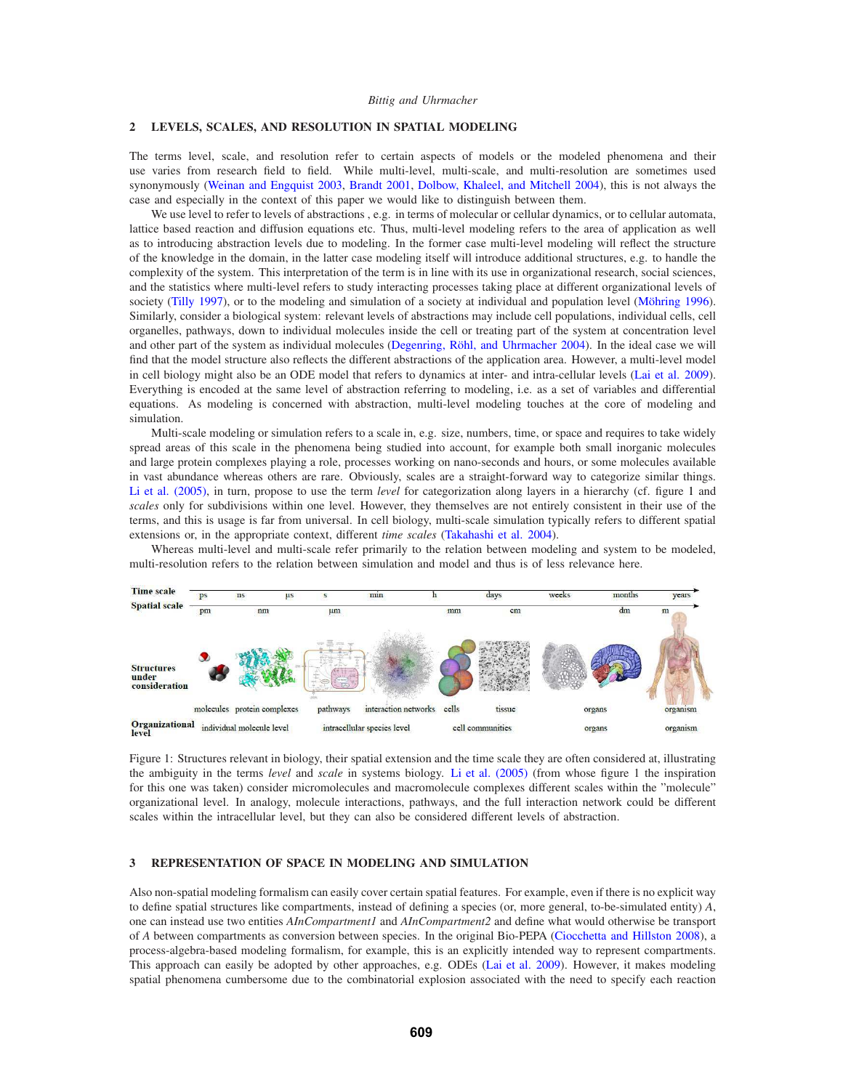# **2 LEVELS, SCALES, AND RESOLUTION IN SPATIAL MODELING**

The terms level, scale, and resolution refer to certain aspects of models or the modeled phenomena and their use varies from research field to field. While multi-level, multi-scale, and multi-resolution are sometimes used synonymously (Weinan and Engquist 2003, Brandt 2001, Dolbow, Khaleel, and Mitchell 2004), this is not always the case and especially in the context of this paper we would like to distinguish between them.

We use level to refer to levels of abstractions, e.g. in terms of molecular or cellular dynamics, or to cellular automata, lattice based reaction and diffusion equations etc. Thus, multi-level modeling refers to the area of application as well as to introducing abstraction levels due to modeling. In the former case multi-level modeling will reflect the structure of the knowledge in the domain, in the latter case modeling itself will introduce additional structures, e.g. to handle the complexity of the system. This interpretation of the term is in line with its use in organizational research, social sciences, and the statistics where multi-level refers to study interacting processes taking place at different organizational levels of society (Tilly 1997), or to the modeling and simulation of a society at individual and population level (Möhring 1996). Similarly, consider a biological system: relevant levels of abstractions may include cell populations, individual cells, cell organelles, pathways, down to individual molecules inside the cell or treating part of the system at concentration level and other part of the system as individual molecules (Degenring, Röhl, and Uhrmacher 2004). In the ideal case we will find that the model structure also reflects the different abstractions of the application area. However, a multi-level model in cell biology might also be an ODE model that refers to dynamics at inter- and intra-cellular levels (Lai et al. 2009). Everything is encoded at the same level of abstraction referring to modeling, i.e. as a set of variables and differential equations. As modeling is concerned with abstraction, multi-level modeling touches at the core of modeling and simulation.

Multi-scale modeling or simulation refers to a scale in, e.g. size, numbers, time, or space and requires to take widely spread areas of this scale in the phenomena being studied into account, for example both small inorganic molecules and large protein complexes playing a role, processes working on nano-seconds and hours, or some molecules available in vast abundance whereas others are rare. Obviously, scales are a straight-forward way to categorize similar things. Li et al. (2005), in turn, propose to use the term *level* for categorization along layers in a hierarchy (cf. figure 1 and *scales* only for subdivisions within one level. However, they themselves are not entirely consistent in their use of the terms, and this is usage is far from universal. In cell biology, multi-scale simulation typically refers to different spatial extensions or, in the appropriate context, different *time scales* (Takahashi et al. 2004).

Whereas multi-level and multi-scale refer primarily to the relation between modeling and system to be modeled, multi-resolution refers to the relation between simulation and model and thus is of less relevance here.



Figure 1: Structures relevant in biology, their spatial extension and the time scale they are often considered at, illustrating the ambiguity in the terms *level* and *scale* in systems biology. Li et al. (2005) (from whose figure 1 the inspiration for this one was taken) consider micromolecules and macromolecule complexes different scales within the "molecule" organizational level. In analogy, molecule interactions, pathways, and the full interaction network could be different scales within the intracellular level, but they can also be considered different levels of abstraction.

# **3 REPRESENTATION OF SPACE IN MODELING AND SIMULATION**

Also non-spatial modeling formalism can easily cover certain spatial features. For example, even if there is no explicit way to define spatial structures like compartments, instead of defining a species (or, more general, to-be-simulated entity) *A*, one can instead use two entities *AInCompartment1* and *AInCompartment2* and define what would otherwise be transport of *A* between compartments as conversion between species. In the original Bio-PEPA (Ciocchetta and Hillston 2008), a process-algebra-based modeling formalism, for example, this is an explicitly intended way to represent compartments. This approach can easily be adopted by other approaches, e.g. ODEs (Lai et al. 2009). However, it makes modeling spatial phenomena cumbersome due to the combinatorial explosion associated with the need to specify each reaction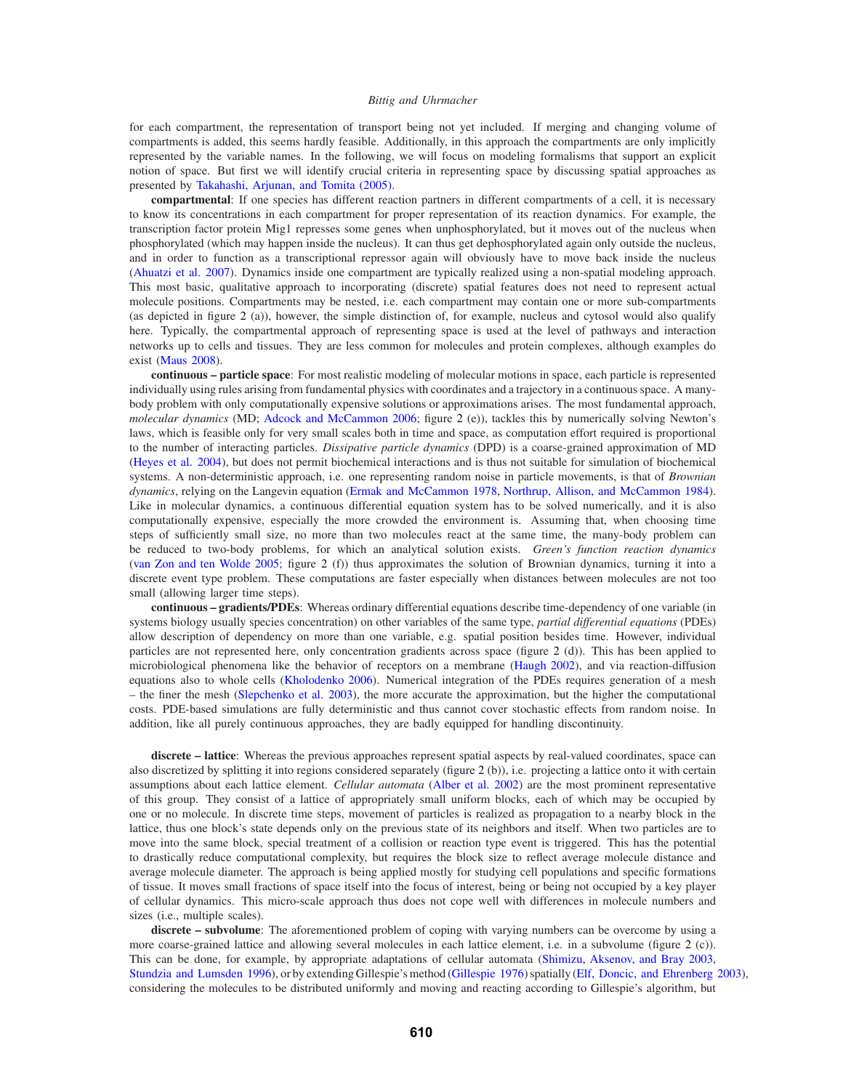for each compartment, the representation of transport being not yet included. If merging and changing volume of compartments is added, this seems hardly feasible. Additionally, in this approach the compartments are only implicitly represented by the variable names. In the following, we will focus on modeling formalisms that support an explicit notion of space. But first we will identify crucial criteria in representing space by discussing spatial approaches as presented by Takahashi, Arjunan, and Tomita (2005).

**compartmental**: If one species has different reaction partners in different compartments of a cell, it is necessary to know its concentrations in each compartment for proper representation of its reaction dynamics. For example, the transcription factor protein Mig1 represses some genes when unphosphorylated, but it moves out of the nucleus when phosphorylated (which may happen inside the nucleus). It can thus get dephosphorylated again only outside the nucleus, and in order to function as a transcriptional repressor again will obviously have to move back inside the nucleus (Ahuatzi et al. 2007). Dynamics inside one compartment are typically realized using a non-spatial modeling approach. This most basic, qualitative approach to incorporating (discrete) spatial features does not need to represent actual molecule positions. Compartments may be nested, i.e. each compartment may contain one or more sub-compartments (as depicted in figure 2 (a)), however, the simple distinction of, for example, nucleus and cytosol would also qualify here. Typically, the compartmental approach of representing space is used at the level of pathways and interaction networks up to cells and tissues. They are less common for molecules and protein complexes, although examples do exist (Maus 2008).

**continuous – particle space**: For most realistic modeling of molecular motions in space, each particle is represented individually using rules arising from fundamental physics with coordinates and a trajectory in a continuous space. A manybody problem with only computationally expensive solutions or approximations arises. The most fundamental approach, *molecular dynamics* (MD; Adcock and McCammon 2006; figure 2 (e)), tackles this by numerically solving Newton's laws, which is feasible only for very small scales both in time and space, as computation effort required is proportional to the number of interacting particles. *Dissipative particle dynamics* (DPD) is a coarse-grained approximation of MD (Heyes et al. 2004), but does not permit biochemical interactions and is thus not suitable for simulation of biochemical systems. A non-deterministic approach, i.e. one representing random noise in particle movements, is that of *Brownian dynamics*, relying on the Langevin equation (Ermak and McCammon 1978, Northrup, Allison, and McCammon 1984). Like in molecular dynamics, a continuous differential equation system has to be solved numerically, and it is also computationally expensive, especially the more crowded the environment is. Assuming that, when choosing time steps of sufficiently small size, no more than two molecules react at the same time, the many-body problem can be reduced to two-body problems, for which an analytical solution exists. *Green's function reaction dynamics* (van Zon and ten Wolde 2005; figure 2 (f)) thus approximates the solution of Brownian dynamics, turning it into a discrete event type problem. These computations are faster especially when distances between molecules are not too small (allowing larger time steps).

**continuous – gradients/PDEs**: Whereas ordinary differential equations describe time-dependency of one variable (in systems biology usually species concentration) on other variables of the same type, *partial differential equations* (PDEs) allow description of dependency on more than one variable, e.g. spatial position besides time. However, individual particles are not represented here, only concentration gradients across space (figure 2 (d)). This has been applied to microbiological phenomena like the behavior of receptors on a membrane (Haugh 2002), and via reaction-diffusion equations also to whole cells (Kholodenko 2006). Numerical integration of the PDEs requires generation of a mesh – the finer the mesh (Slepchenko et al. 2003), the more accurate the approximation, but the higher the computational costs. PDE-based simulations are fully deterministic and thus cannot cover stochastic effects from random noise. In addition, like all purely continuous approaches, they are badly equipped for handling discontinuity.

**discrete – lattice**: Whereas the previous approaches represent spatial aspects by real-valued coordinates, space can also discretized by splitting it into regions considered separately (figure 2 (b)), i.e. projecting a lattice onto it with certain assumptions about each lattice element. *Cellular automata* (Alber et al. 2002) are the most prominent representative of this group. They consist of a lattice of appropriately small uniform blocks, each of which may be occupied by one or no molecule. In discrete time steps, movement of particles is realized as propagation to a nearby block in the lattice, thus one block's state depends only on the previous state of its neighbors and itself. When two particles are to move into the same block, special treatment of a collision or reaction type event is triggered. This has the potential to drastically reduce computational complexity, but requires the block size to reflect average molecule distance and average molecule diameter. The approach is being applied mostly for studying cell populations and specific formations of tissue. It moves small fractions of space itself into the focus of interest, being or being not occupied by a key player of cellular dynamics. This micro-scale approach thus does not cope well with differences in molecule numbers and sizes (i.e., multiple scales).

**discrete – subvolume**: The aforementioned problem of coping with varying numbers can be overcome by using a more coarse-grained lattice and allowing several molecules in each lattice element, i.e. in a subvolume (figure 2 (c)). This can be done, for example, by appropriate adaptations of cellular automata (Shimizu, Aksenov, and Bray 2003, Stundzia and Lumsden 1996), or by extending Gillespie's method (Gillespie 1976) spatially (Elf, Doncic, and Ehrenberg 2003), considering the molecules to be distributed uniformly and moving and reacting according to Gillespie's algorithm, but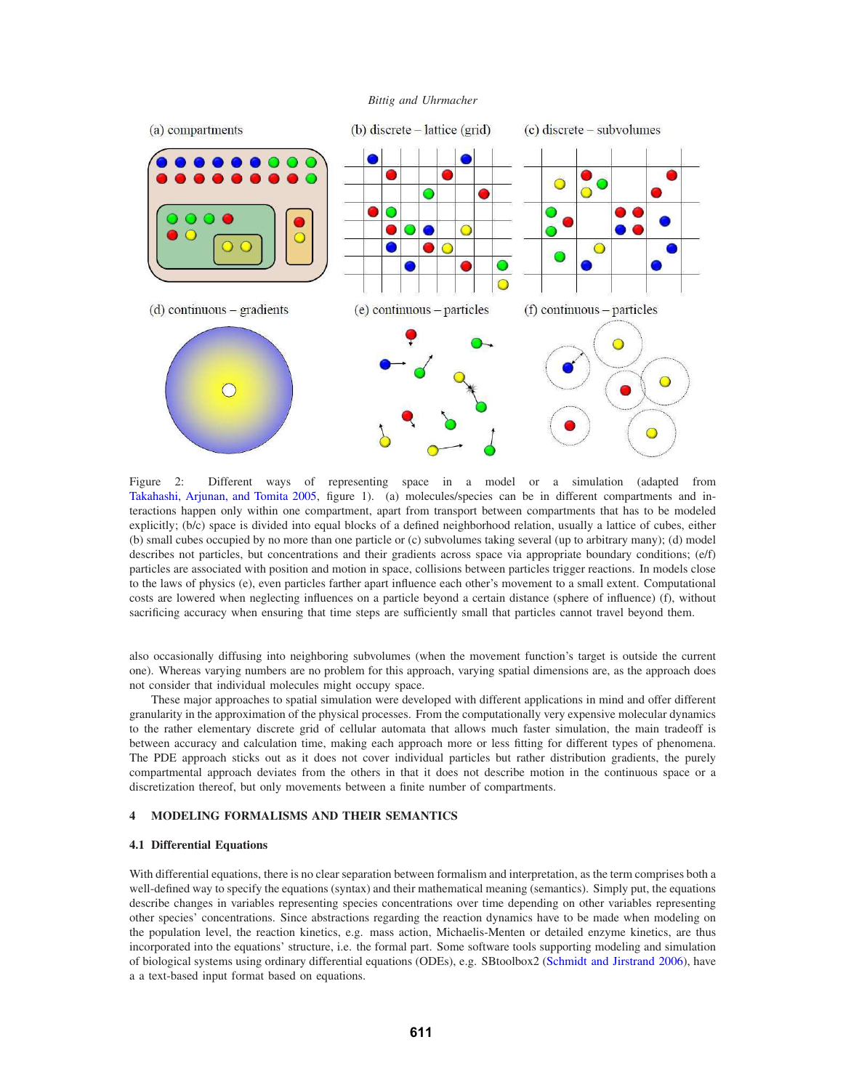



Figure 2: Different ways of representing space in a model or a simulation (adapted from Takahashi, Arjunan, and Tomita 2005, figure 1). (a) molecules/species can be in different compartments and interactions happen only within one compartment, apart from transport between compartments that has to be modeled explicitly; (b/c) space is divided into equal blocks of a defined neighborhood relation, usually a lattice of cubes, either (b) small cubes occupied by no more than one particle or (c) subvolumes taking several (up to arbitrary many); (d) model describes not particles, but concentrations and their gradients across space via appropriate boundary conditions; (e/f) particles are associated with position and motion in space, collisions between particles trigger reactions. In models close to the laws of physics (e), even particles farther apart influence each other's movement to a small extent. Computational costs are lowered when neglecting influences on a particle beyond a certain distance (sphere of influence) (f), without sacrificing accuracy when ensuring that time steps are sufficiently small that particles cannot travel beyond them.

also occasionally diffusing into neighboring subvolumes (when the movement function's target is outside the current one). Whereas varying numbers are no problem for this approach, varying spatial dimensions are, as the approach does not consider that individual molecules might occupy space.

These major approaches to spatial simulation were developed with different applications in mind and offer different granularity in the approximation of the physical processes. From the computationally very expensive molecular dynamics to the rather elementary discrete grid of cellular automata that allows much faster simulation, the main tradeoff is between accuracy and calculation time, making each approach more or less fitting for different types of phenomena. The PDE approach sticks out as it does not cover individual particles but rather distribution gradients, the purely compartmental approach deviates from the others in that it does not describe motion in the continuous space or a discretization thereof, but only movements between a finite number of compartments.

# **4 MODELING FORMALISMS AND THEIR SEMANTICS**

#### **4.1 Differential Equations**

With differential equations, there is no clear separation between formalism and interpretation, as the term comprises both a well-defined way to specify the equations (syntax) and their mathematical meaning (semantics). Simply put, the equations describe changes in variables representing species concentrations over time depending on other variables representing other species' concentrations. Since abstractions regarding the reaction dynamics have to be made when modeling on the population level, the reaction kinetics, e.g. mass action, Michaelis-Menten or detailed enzyme kinetics, are thus incorporated into the equations' structure, i.e. the formal part. Some software tools supporting modeling and simulation of biological systems using ordinary differential equations (ODEs), e.g. SBtoolbox2 (Schmidt and Jirstrand 2006), have a a text-based input format based on equations.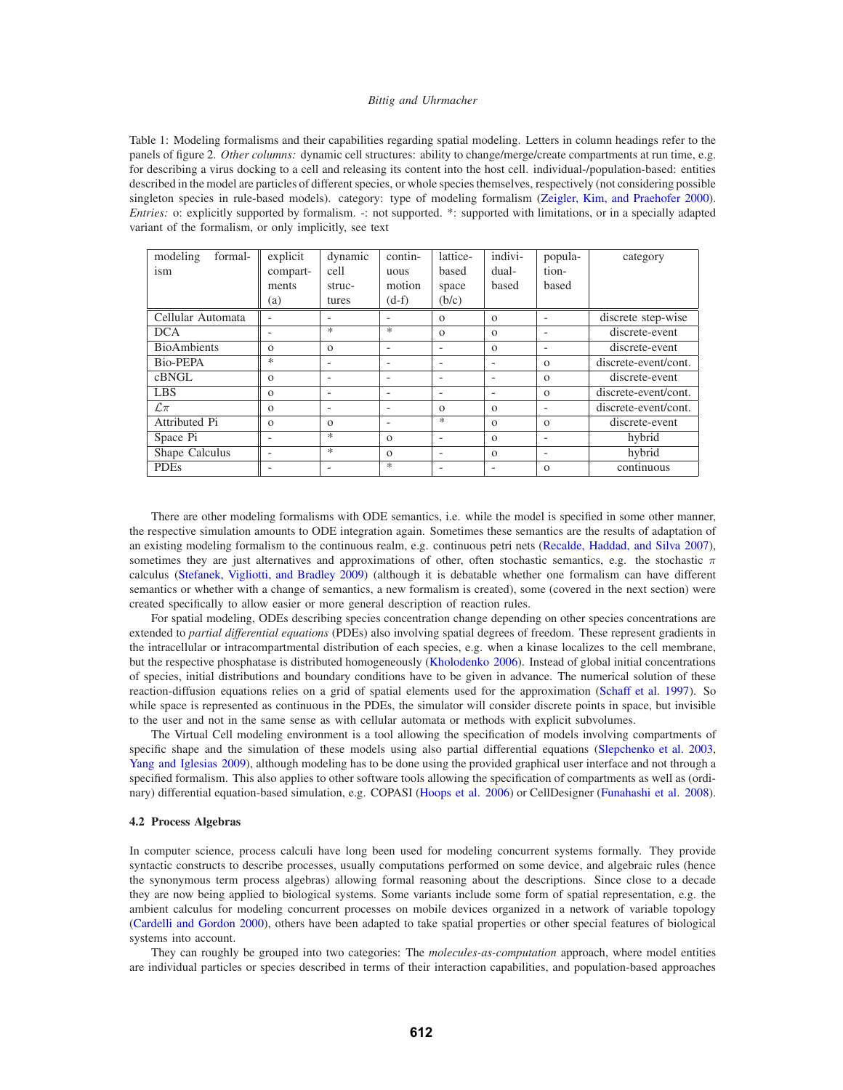Table 1: Modeling formalisms and their capabilities regarding spatial modeling. Letters in column headings refer to the panels of figure 2. *Other columns:* dynamic cell structures: ability to change/merge/create compartments at run time, e.g. for describing a virus docking to a cell and releasing its content into the host cell. individual-/population-based: entities described in the model are particles of different species, or whole species themselves, respectively (not considering possible singleton species in rule-based models). category: type of modeling formalism (Zeigler, Kim, and Praehofer 2000). *Entries:* o: explicitly supported by formalism. -: not supported. \*: supported with limitations, or in a specially adapted variant of the formalism, or only implicitly, see text

| modeling<br>formal- | explicit | dynamic                  | contin-                  | lattice-                 | indivi-                  | popula-                  | category             |
|---------------------|----------|--------------------------|--------------------------|--------------------------|--------------------------|--------------------------|----------------------|
| ism                 | compart- | cell                     | uous                     | based                    | dual-                    | tion-                    |                      |
|                     | ments    | struc-                   | motion                   | space                    | based                    | based                    |                      |
|                     | (a)      | tures                    | $(d-f)$                  | (b/c)                    |                          |                          |                      |
| Cellular Automata   | ٠        | $\overline{\phantom{a}}$ | $\overline{\phantom{0}}$ | $\Omega$                 | $\Omega$                 | $\overline{\phantom{0}}$ | discrete step-wise   |
| <b>DCA</b>          | ٠        | $\ast$                   | *                        | $\Omega$                 | $\Omega$                 | $\overline{\phantom{a}}$ | discrete-event       |
| <b>BioAmbients</b>  | $\Omega$ | $\Omega$                 | $\overline{\phantom{0}}$ | $\overline{\phantom{0}}$ | $\Omega$                 | -                        | discrete-event       |
| Bio-PEPA            | *        | $\overline{\phantom{a}}$ | $\overline{\phantom{0}}$ | $\overline{\phantom{0}}$ | $\overline{\phantom{0}}$ | $\Omega$                 | discrete-event/cont. |
| cBNGL               | $\Omega$ | $\overline{\phantom{m}}$ | $\overline{\phantom{0}}$ | $\overline{\phantom{0}}$ | $\overline{\phantom{0}}$ | $\Omega$                 | discrete-event       |
| <b>LBS</b>          | $\Omega$ | $\overline{\phantom{a}}$ | $\overline{\phantom{0}}$ | $\overline{\phantom{0}}$ | $\overline{\phantom{0}}$ | $\Omega$                 | discrete-event/cont. |
| $\mathcal{L}\pi$    | $\Omega$ | $\overline{\phantom{m}}$ | $\overline{\phantom{a}}$ | $\Omega$                 | $\Omega$                 | $\overline{\phantom{a}}$ | discrete-event/cont. |
| Attributed Pi       | $\Omega$ | $\Omega$                 | $\overline{\phantom{m}}$ | *                        | $\Omega$                 | $\Omega$                 | discrete-event       |
| Space Pi            | -        | $\ast$                   | $\Omega$                 | $\overline{\phantom{0}}$ | $\Omega$                 | $\overline{\phantom{a}}$ | hybrid               |
| Shape Calculus      | ٠        | $\ast$                   | $\Omega$                 | ۰                        | $\Omega$                 | $\overline{\phantom{a}}$ | hybrid               |
| <b>PDEs</b>         |          | $\overline{\phantom{a}}$ | $*$                      |                          |                          | $\Omega$                 | continuous           |

There are other modeling formalisms with ODE semantics, i.e. while the model is specified in some other manner, the respective simulation amounts to ODE integration again. Sometimes these semantics are the results of adaptation of an existing modeling formalism to the continuous realm, e.g. continuous petri nets (Recalde, Haddad, and Silva 2007), sometimes they are just alternatives and approximations of other, often stochastic semantics, e.g. the stochastic  $\pi$ calculus (Stefanek, Vigliotti, and Bradley 2009) (although it is debatable whether one formalism can have different semantics or whether with a change of semantics, a new formalism is created), some (covered in the next section) were created specifically to allow easier or more general description of reaction rules.

For spatial modeling, ODEs describing species concentration change depending on other species concentrations are extended to *partial differential equations* (PDEs) also involving spatial degrees of freedom. These represent gradients in the intracellular or intracompartmental distribution of each species, e.g. when a kinase localizes to the cell membrane, but the respective phosphatase is distributed homogeneously (Kholodenko 2006). Instead of global initial concentrations of species, initial distributions and boundary conditions have to be given in advance. The numerical solution of these reaction-diffusion equations relies on a grid of spatial elements used for the approximation (Schaff et al. 1997). So while space is represented as continuous in the PDEs, the simulator will consider discrete points in space, but invisible to the user and not in the same sense as with cellular automata or methods with explicit subvolumes.

The Virtual Cell modeling environment is a tool allowing the specification of models involving compartments of specific shape and the simulation of these models using also partial differential equations (Slepchenko et al. 2003, Yang and Iglesias 2009), although modeling has to be done using the provided graphical user interface and not through a specified formalism. This also applies to other software tools allowing the specification of compartments as well as (ordinary) differential equation-based simulation, e.g. COPASI (Hoops et al. 2006) or CellDesigner (Funahashi et al. 2008).

### **4.2 Process Algebras**

In computer science, process calculi have long been used for modeling concurrent systems formally. They provide syntactic constructs to describe processes, usually computations performed on some device, and algebraic rules (hence the synonymous term process algebras) allowing formal reasoning about the descriptions. Since close to a decade they are now being applied to biological systems. Some variants include some form of spatial representation, e.g. the ambient calculus for modeling concurrent processes on mobile devices organized in a network of variable topology (Cardelli and Gordon 2000), others have been adapted to take spatial properties or other special features of biological systems into account.

They can roughly be grouped into two categories: The *molecules-as-computation* approach, where model entities are individual particles or species described in terms of their interaction capabilities, and population-based approaches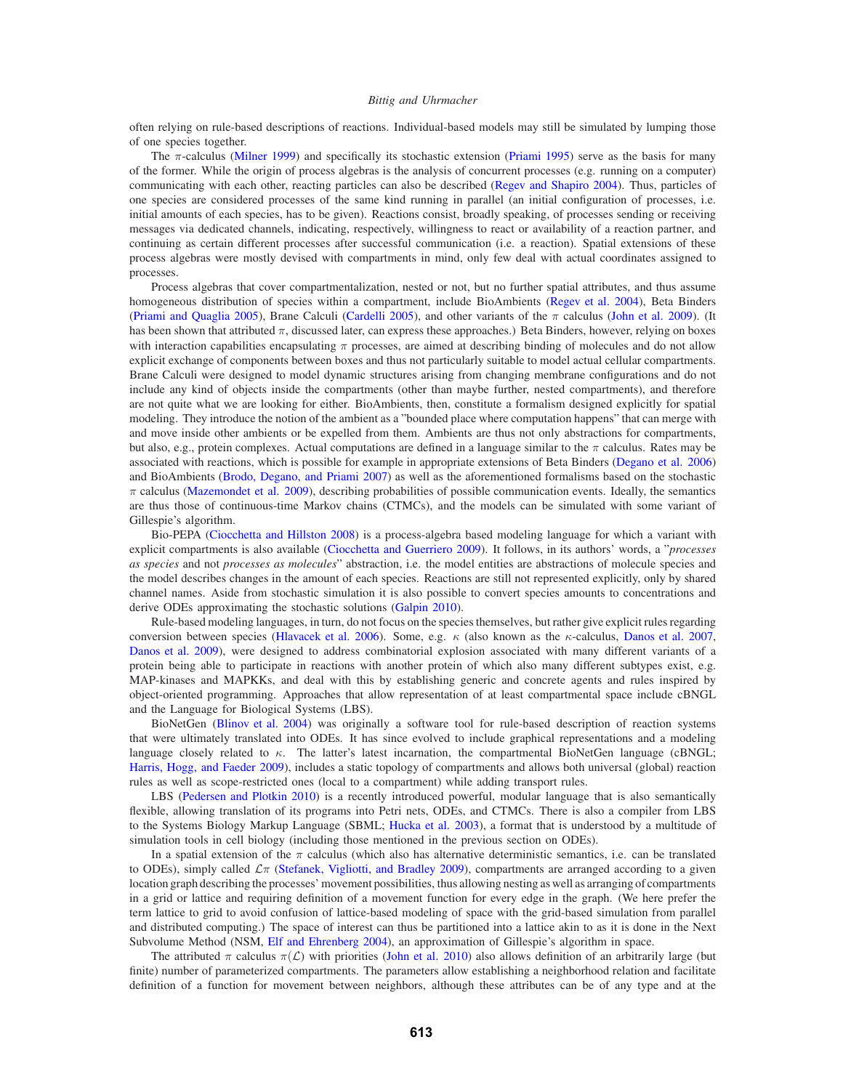often relying on rule-based descriptions of reactions. Individual-based models may still be simulated by lumping those of one species together.

The  $\pi$ -calculus (Milner 1999) and specifically its stochastic extension (Priami 1995) serve as the basis for many of the former. While the origin of process algebras is the analysis of concurrent processes (e.g. running on a computer) communicating with each other, reacting particles can also be described (Regev and Shapiro 2004). Thus, particles of one species are considered processes of the same kind running in parallel (an initial configuration of processes, i.e. initial amounts of each species, has to be given). Reactions consist, broadly speaking, of processes sending or receiving messages via dedicated channels, indicating, respectively, willingness to react or availability of a reaction partner, and continuing as certain different processes after successful communication (i.e. a reaction). Spatial extensions of these process algebras were mostly devised with compartments in mind, only few deal with actual coordinates assigned to processes.

Process algebras that cover compartmentalization, nested or not, but no further spatial attributes, and thus assume homogeneous distribution of species within a compartment, include BioAmbients (Regev et al. 2004), Beta Binders (Priami and Quaglia 2005), Brane Calculi (Cardelli 2005), and other variants of the  $\pi$  calculus (John et al. 2009). (It has been shown that attributed  $\pi$ , discussed later, can express these approaches.) Beta Binders, however, relying on boxes with interaction capabilities encapsulating  $\pi$  processes, are aimed at describing binding of molecules and do not allow explicit exchange of components between boxes and thus not particularly suitable to model actual cellular compartments. Brane Calculi were designed to model dynamic structures arising from changing membrane configurations and do not include any kind of objects inside the compartments (other than maybe further, nested compartments), and therefore are not quite what we are looking for either. BioAmbients, then, constitute a formalism designed explicitly for spatial modeling. They introduce the notion of the ambient as a "bounded place where computation happens" that can merge with and move inside other ambients or be expelled from them. Ambients are thus not only abstractions for compartments, but also, e.g., protein complexes. Actual computations are defined in a language similar to the  $\pi$  calculus. Rates may be associated with reactions, which is possible for example in appropriate extensions of Beta Binders (Degano et al. 2006) and BioAmbients (Brodo, Degano, and Priami 2007) as well as the aforementioned formalisms based on the stochastic  $\pi$  calculus (Mazemondet et al. 2009), describing probabilities of possible communication events. Ideally, the semantics are thus those of continuous-time Markov chains (CTMCs), and the models can be simulated with some variant of Gillespie's algorithm.

Bio-PEPA (Ciocchetta and Hillston 2008) is a process-algebra based modeling language for which a variant with explicit compartments is also available (Ciocchetta and Guerriero 2009). It follows, in its authors' words, a "*processes as species* and not *processes as molecules*" abstraction, i.e. the model entities are abstractions of molecule species and the model describes changes in the amount of each species. Reactions are still not represented explicitly, only by shared channel names. Aside from stochastic simulation it is also possible to convert species amounts to concentrations and derive ODEs approximating the stochastic solutions (Galpin 2010).

Rule-based modeling languages, in turn, do not focus on the species themselves, but rather give explicit rules regarding conversion between species (Hlavacek et al. 2006). Some, e.g.  $\kappa$  (also known as the  $\kappa$ -calculus, Danos et al. 2007, Danos et al. 2009), were designed to address combinatorial explosion associated with many different variants of a protein being able to participate in reactions with another protein of which also many different subtypes exist, e.g. MAP-kinases and MAPKKs, and deal with this by establishing generic and concrete agents and rules inspired by object-oriented programming. Approaches that allow representation of at least compartmental space include cBNGL and the Language for Biological Systems (LBS).

BioNetGen (Blinov et al. 2004) was originally a software tool for rule-based description of reaction systems that were ultimately translated into ODEs. It has since evolved to include graphical representations and a modeling language closely related to  $\kappa$ . The latter's latest incarnation, the compartmental BioNetGen language (cBNGL; Harris, Hogg, and Faeder 2009), includes a static topology of compartments and allows both universal (global) reaction rules as well as scope-restricted ones (local to a compartment) while adding transport rules.

LBS (Pedersen and Plotkin 2010) is a recently introduced powerful, modular language that is also semantically flexible, allowing translation of its programs into Petri nets, ODEs, and CTMCs. There is also a compiler from LBS to the Systems Biology Markup Language (SBML; Hucka et al. 2003), a format that is understood by a multitude of simulation tools in cell biology (including those mentioned in the previous section on ODEs).

In a spatial extension of the  $\pi$  calculus (which also has alternative deterministic semantics, i.e. can be translated to ODEs), simply called  $\mathcal{L}\pi$  (Stefanek, Vigliotti, and Bradley 2009), compartments are arranged according to a given location graph describing the processes' movement possibilities, thus allowing nesting as well as arranging of compartments in a grid or lattice and requiring definition of a movement function for every edge in the graph. (We here prefer the term lattice to grid to avoid confusion of lattice-based modeling of space with the grid-based simulation from parallel and distributed computing.) The space of interest can thus be partitioned into a lattice akin to as it is done in the Next Subvolume Method (NSM, Elf and Ehrenberg 2004), an approximation of Gillespie's algorithm in space.

The attributed  $\pi$  calculus  $\pi(\mathcal{L})$  with priorities (John et al. 2010) also allows definition of an arbitrarily large (but finite) number of parameterized compartments. The parameters allow establishing a neighborhood relation and facilitate definition of a function for movement between neighbors, although these attributes can be of any type and at the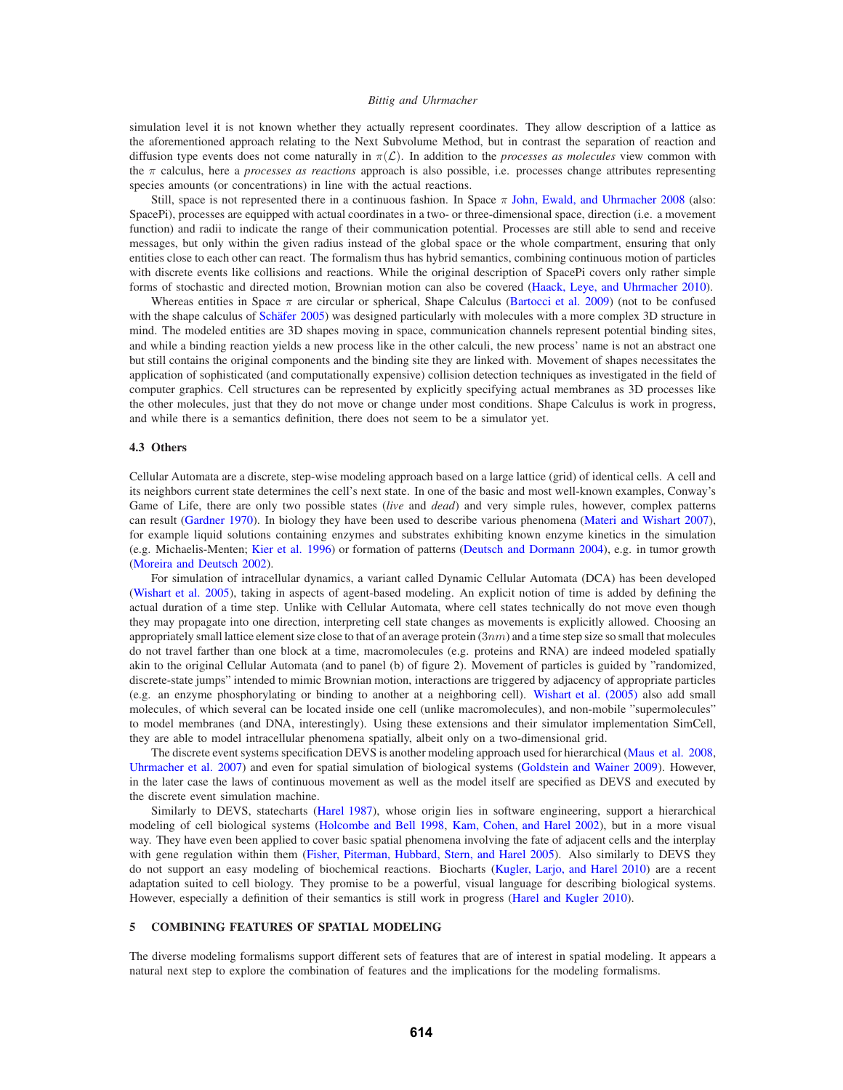simulation level it is not known whether they actually represent coordinates. They allow description of a lattice as the aforementioned approach relating to the Next Subvolume Method, but in contrast the separation of reaction and diffusion type events does not come naturally in  $\pi(\mathcal{L})$ . In addition to the *processes as molecules* view common with the π calculus, here a *processes as reactions* approach is also possible, i.e. processes change attributes representing species amounts (or concentrations) in line with the actual reactions.

Still, space is not represented there in a continuous fashion. In Space  $\pi$  John, Ewald, and Uhrmacher 2008 (also: SpacePi), processes are equipped with actual coordinates in a two- or three-dimensional space, direction (i.e. a movement function) and radii to indicate the range of their communication potential. Processes are still able to send and receive messages, but only within the given radius instead of the global space or the whole compartment, ensuring that only entities close to each other can react. The formalism thus has hybrid semantics, combining continuous motion of particles with discrete events like collisions and reactions. While the original description of SpacePi covers only rather simple forms of stochastic and directed motion, Brownian motion can also be covered (Haack, Leye, and Uhrmacher 2010).

Whereas entities in Space  $\pi$  are circular or spherical, Shape Calculus (Bartocci et al. 2009) (not to be confused with the shape calculus of Schäfer 2005) was designed particularly with molecules with a more complex 3D structure in mind. The modeled entities are 3D shapes moving in space, communication channels represent potential binding sites, and while a binding reaction yields a new process like in the other calculi, the new process' name is not an abstract one but still contains the original components and the binding site they are linked with. Movement of shapes necessitates the application of sophisticated (and computationally expensive) collision detection techniques as investigated in the field of computer graphics. Cell structures can be represented by explicitly specifying actual membranes as 3D processes like the other molecules, just that they do not move or change under most conditions. Shape Calculus is work in progress, and while there is a semantics definition, there does not seem to be a simulator yet.

### **4.3 Others**

Cellular Automata are a discrete, step-wise modeling approach based on a large lattice (grid) of identical cells. A cell and its neighbors current state determines the cell's next state. In one of the basic and most well-known examples, Conway's Game of Life, there are only two possible states (*live* and *dead*) and very simple rules, however, complex patterns can result (Gardner 1970). In biology they have been used to describe various phenomena (Materi and Wishart 2007), for example liquid solutions containing enzymes and substrates exhibiting known enzyme kinetics in the simulation (e.g. Michaelis-Menten; Kier et al. 1996) or formation of patterns (Deutsch and Dormann 2004), e.g. in tumor growth (Moreira and Deutsch 2002).

For simulation of intracellular dynamics, a variant called Dynamic Cellular Automata (DCA) has been developed (Wishart et al. 2005), taking in aspects of agent-based modeling. An explicit notion of time is added by defining the actual duration of a time step. Unlike with Cellular Automata, where cell states technically do not move even though they may propagate into one direction, interpreting cell state changes as movements is explicitly allowed. Choosing an appropriately small lattice element size close to that of an average protein  $(3nm)$  and a time step size so small that molecules do not travel farther than one block at a time, macromolecules (e.g. proteins and RNA) are indeed modeled spatially akin to the original Cellular Automata (and to panel (b) of figure 2). Movement of particles is guided by "randomized, discrete-state jumps" intended to mimic Brownian motion, interactions are triggered by adjacency of appropriate particles (e.g. an enzyme phosphorylating or binding to another at a neighboring cell). Wishart et al. (2005) also add small molecules, of which several can be located inside one cell (unlike macromolecules), and non-mobile "supermolecules" to model membranes (and DNA, interestingly). Using these extensions and their simulator implementation SimCell, they are able to model intracellular phenomena spatially, albeit only on a two-dimensional grid.

The discrete event systems specification DEVS is another modeling approach used for hierarchical (Maus et al. 2008, Uhrmacher et al. 2007) and even for spatial simulation of biological systems (Goldstein and Wainer 2009). However, in the later case the laws of continuous movement as well as the model itself are specified as DEVS and executed by the discrete event simulation machine.

Similarly to DEVS, statecharts (Harel 1987), whose origin lies in software engineering, support a hierarchical modeling of cell biological systems (Holcombe and Bell 1998, Kam, Cohen, and Harel 2002), but in a more visual way. They have even been applied to cover basic spatial phenomena involving the fate of adjacent cells and the interplay with gene regulation within them (Fisher, Piterman, Hubbard, Stern, and Harel 2005). Also similarly to DEVS they do not support an easy modeling of biochemical reactions. Biocharts (Kugler, Larjo, and Harel 2010) are a recent adaptation suited to cell biology. They promise to be a powerful, visual language for describing biological systems. However, especially a definition of their semantics is still work in progress (Harel and Kugler 2010).

### **5 COMBINING FEATURES OF SPATIAL MODELING**

The diverse modeling formalisms support different sets of features that are of interest in spatial modeling. It appears a natural next step to explore the combination of features and the implications for the modeling formalisms.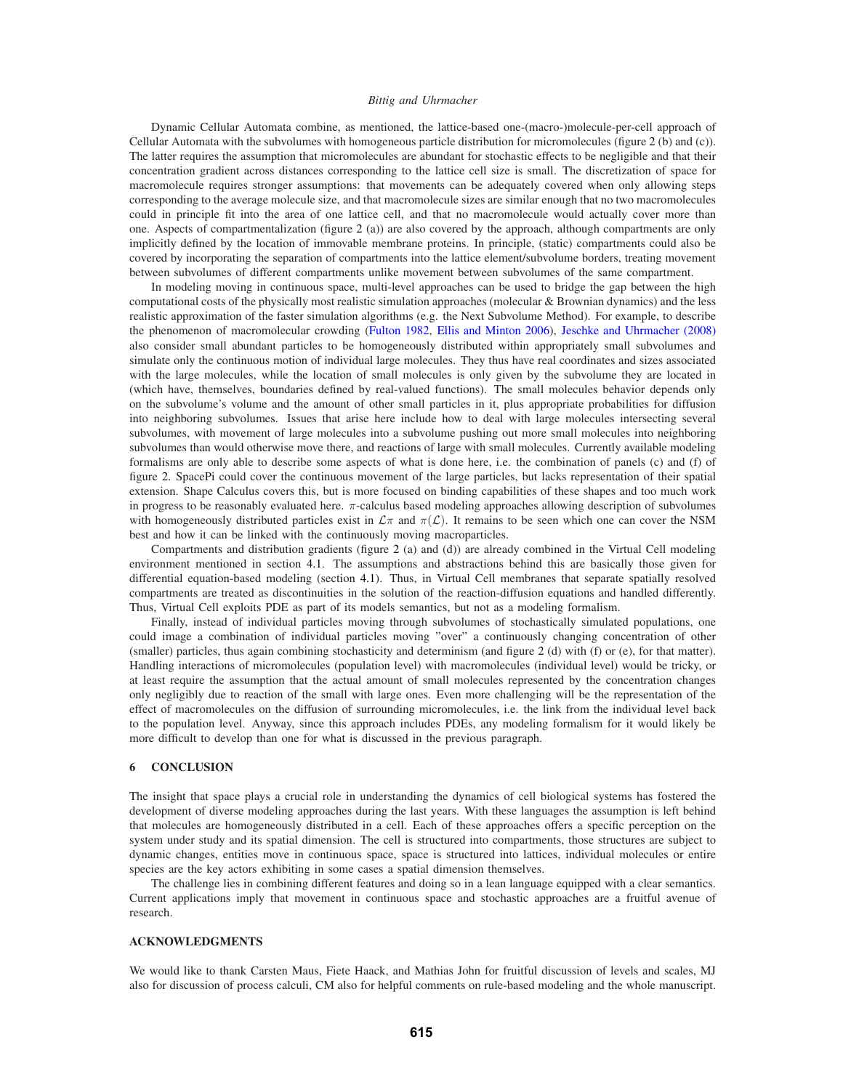Dynamic Cellular Automata combine, as mentioned, the lattice-based one-(macro-)molecule-per-cell approach of Cellular Automata with the subvolumes with homogeneous particle distribution for micromolecules (figure 2 (b) and (c)). The latter requires the assumption that micromolecules are abundant for stochastic effects to be negligible and that their concentration gradient across distances corresponding to the lattice cell size is small. The discretization of space for macromolecule requires stronger assumptions: that movements can be adequately covered when only allowing steps corresponding to the average molecule size, and that macromolecule sizes are similar enough that no two macromolecules could in principle fit into the area of one lattice cell, and that no macromolecule would actually cover more than one. Aspects of compartmentalization (figure 2 (a)) are also covered by the approach, although compartments are only implicitly defined by the location of immovable membrane proteins. In principle, (static) compartments could also be covered by incorporating the separation of compartments into the lattice element/subvolume borders, treating movement between subvolumes of different compartments unlike movement between subvolumes of the same compartment.

In modeling moving in continuous space, multi-level approaches can be used to bridge the gap between the high computational costs of the physically most realistic simulation approaches (molecular & Brownian dynamics) and the less realistic approximation of the faster simulation algorithms (e.g. the Next Subvolume Method). For example, to describe the phenomenon of macromolecular crowding (Fulton 1982, Ellis and Minton 2006), Jeschke and Uhrmacher (2008) also consider small abundant particles to be homogeneously distributed within appropriately small subvolumes and simulate only the continuous motion of individual large molecules. They thus have real coordinates and sizes associated with the large molecules, while the location of small molecules is only given by the subvolume they are located in (which have, themselves, boundaries defined by real-valued functions). The small molecules behavior depends only on the subvolume's volume and the amount of other small particles in it, plus appropriate probabilities for diffusion into neighboring subvolumes. Issues that arise here include how to deal with large molecules intersecting several subvolumes, with movement of large molecules into a subvolume pushing out more small molecules into neighboring subvolumes than would otherwise move there, and reactions of large with small molecules. Currently available modeling formalisms are only able to describe some aspects of what is done here, i.e. the combination of panels (c) and (f) of figure 2. SpacePi could cover the continuous movement of the large particles, but lacks representation of their spatial extension. Shape Calculus covers this, but is more focused on binding capabilities of these shapes and too much work in progress to be reasonably evaluated here. π-calculus based modeling approaches allowing description of subvolumes with homogeneously distributed particles exist in  $\mathcal{L}\pi$  and  $\pi(\mathcal{L})$ . It remains to be seen which one can cover the NSM best and how it can be linked with the continuously moving macroparticles.

Compartments and distribution gradients (figure 2 (a) and (d)) are already combined in the Virtual Cell modeling environment mentioned in section 4.1. The assumptions and abstractions behind this are basically those given for differential equation-based modeling (section 4.1). Thus, in Virtual Cell membranes that separate spatially resolved compartments are treated as discontinuities in the solution of the reaction-diffusion equations and handled differently. Thus, Virtual Cell exploits PDE as part of its models semantics, but not as a modeling formalism.

Finally, instead of individual particles moving through subvolumes of stochastically simulated populations, one could image a combination of individual particles moving "over" a continuously changing concentration of other (smaller) particles, thus again combining stochasticity and determinism (and figure 2 (d) with (f) or (e), for that matter). Handling interactions of micromolecules (population level) with macromolecules (individual level) would be tricky, or at least require the assumption that the actual amount of small molecules represented by the concentration changes only negligibly due to reaction of the small with large ones. Even more challenging will be the representation of the effect of macromolecules on the diffusion of surrounding micromolecules, i.e. the link from the individual level back to the population level. Anyway, since this approach includes PDEs, any modeling formalism for it would likely be more difficult to develop than one for what is discussed in the previous paragraph.

### **6 CONCLUSION**

The insight that space plays a crucial role in understanding the dynamics of cell biological systems has fostered the development of diverse modeling approaches during the last years. With these languages the assumption is left behind that molecules are homogeneously distributed in a cell. Each of these approaches offers a specific perception on the system under study and its spatial dimension. The cell is structured into compartments, those structures are subject to dynamic changes, entities move in continuous space, space is structured into lattices, individual molecules or entire species are the key actors exhibiting in some cases a spatial dimension themselves.

The challenge lies in combining different features and doing so in a lean language equipped with a clear semantics. Current applications imply that movement in continuous space and stochastic approaches are a fruitful avenue of research.

# **ACKNOWLEDGMENTS**

We would like to thank Carsten Maus, Fiete Haack, and Mathias John for fruitful discussion of levels and scales, MJ also for discussion of process calculi, CM also for helpful comments on rule-based modeling and the whole manuscript.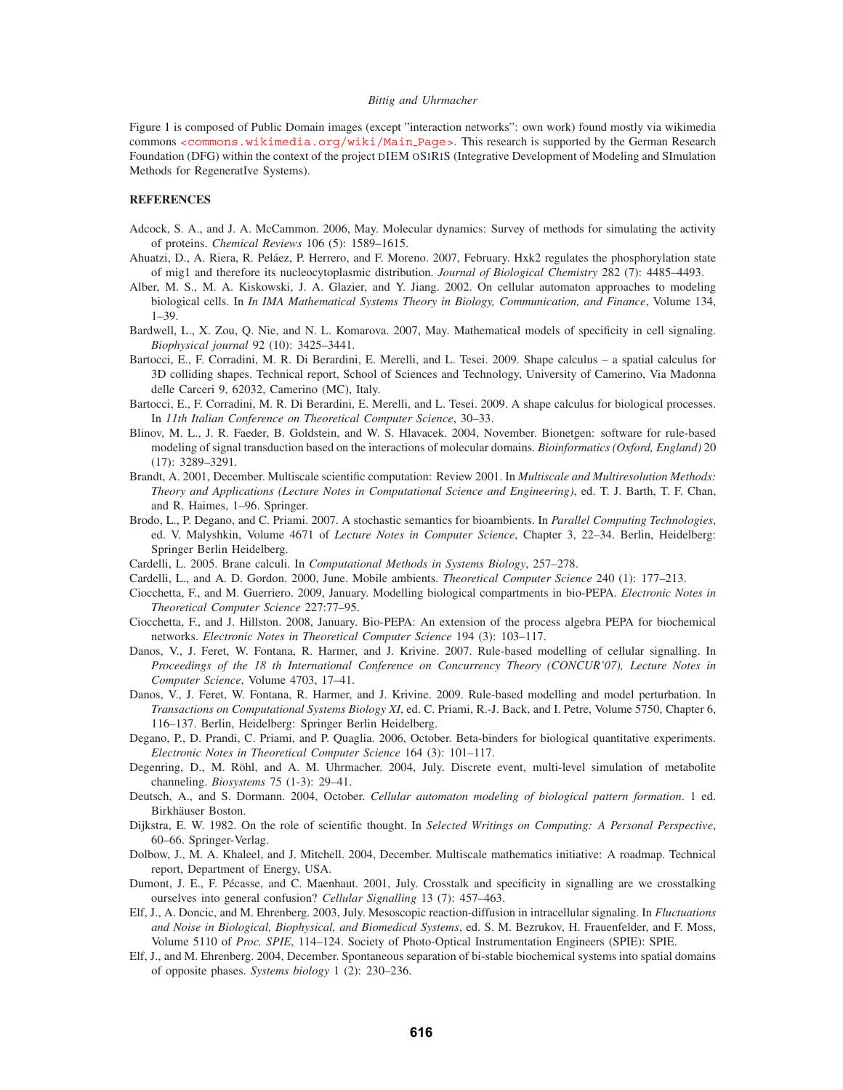Figure 1 is composed of Public Domain images (except "interaction networks": own work) found mostly via wikimedia commons <commons.wikimedia.org/wiki/Main Page>. This research is supported by the German Research Foundation (DFG) within the context of the project DIEM OSIRIS (Integrative Development of Modeling and SImulation Methods for RegeneratIve Systems).

#### **REFERENCES**

- Adcock, S. A., and J. A. McCammon. 2006, May. Molecular dynamics: Survey of methods for simulating the activity of proteins. *Chemical Reviews* 106 (5): 1589–1615.
- Ahuatzi, D., A. Riera, R. Pelaez, P. Herrero, and F. Moreno. 2007, February. Hxk2 regulates the phosphorylation state ´ of mig1 and therefore its nucleocytoplasmic distribution. *Journal of Biological Chemistry* 282 (7): 4485–4493.
- Alber, M. S., M. A. Kiskowski, J. A. Glazier, and Y. Jiang. 2002. On cellular automaton approaches to modeling biological cells. In *In IMA Mathematical Systems Theory in Biology, Communication, and Finance*, Volume 134, 1–39.
- Bardwell, L., X. Zou, Q. Nie, and N. L. Komarova. 2007, May. Mathematical models of specificity in cell signaling. *Biophysical journal* 92 (10): 3425–3441.
- Bartocci, E., F. Corradini, M. R. Di Berardini, E. Merelli, and L. Tesei. 2009. Shape calculus a spatial calculus for 3D colliding shapes. Technical report, School of Sciences and Technology, University of Camerino, Via Madonna delle Carceri 9, 62032, Camerino (MC), Italy.
- Bartocci, E., F. Corradini, M. R. Di Berardini, E. Merelli, and L. Tesei. 2009. A shape calculus for biological processes. In *11th Italian Conference on Theoretical Computer Science*, 30–33.
- Blinov, M. L., J. R. Faeder, B. Goldstein, and W. S. Hlavacek. 2004, November. Bionetgen: software for rule-based modeling of signal transduction based on the interactions of molecular domains. *Bioinformatics (Oxford, England)* 20 (17): 3289–3291.
- Brandt, A. 2001, December. Multiscale scientific computation: Review 2001. In *Multiscale and Multiresolution Methods: Theory and Applications (Lecture Notes in Computational Science and Engineering)*, ed. T. J. Barth, T. F. Chan, and R. Haimes, 1–96. Springer.
- Brodo, L., P. Degano, and C. Priami. 2007. A stochastic semantics for bioambients. In *Parallel Computing Technologies*, ed. V. Malyshkin, Volume 4671 of *Lecture Notes in Computer Science*, Chapter 3, 22–34. Berlin, Heidelberg: Springer Berlin Heidelberg.
- Cardelli, L. 2005. Brane calculi. In *Computational Methods in Systems Biology*, 257–278.
- Cardelli, L., and A. D. Gordon. 2000, June. Mobile ambients. *Theoretical Computer Science* 240 (1): 177–213.
- Ciocchetta, F., and M. Guerriero. 2009, January. Modelling biological compartments in bio-PEPA. *Electronic Notes in Theoretical Computer Science* 227:77–95.
- Ciocchetta, F., and J. Hillston. 2008, January. Bio-PEPA: An extension of the process algebra PEPA for biochemical networks. *Electronic Notes in Theoretical Computer Science* 194 (3): 103–117.
- Danos, V., J. Feret, W. Fontana, R. Harmer, and J. Krivine. 2007. Rule-based modelling of cellular signalling. In *Proceedings of the 18 th International Conference on Concurrency Theory (CONCUR'07), Lecture Notes in Computer Science*, Volume 4703, 17–41.
- Danos, V., J. Feret, W. Fontana, R. Harmer, and J. Krivine. 2009. Rule-based modelling and model perturbation. In *Transactions on Computational Systems Biology XI*, ed. C. Priami, R.-J. Back, and I. Petre, Volume 5750, Chapter 6, 116–137. Berlin, Heidelberg: Springer Berlin Heidelberg.
- Degano, P., D. Prandi, C. Priami, and P. Quaglia. 2006, October. Beta-binders for biological quantitative experiments. *Electronic Notes in Theoretical Computer Science* 164 (3): 101–117.
- Degenring, D., M. Röhl, and A. M. Uhrmacher. 2004, July. Discrete event, multi-level simulation of metabolite channeling. *Biosystems* 75 (1-3): 29–41.
- Deutsch, A., and S. Dormann. 2004, October. *Cellular automaton modeling of biological pattern formation*. 1 ed. Birkhäuser Boston.
- Dijkstra, E. W. 1982. On the role of scientific thought. In *Selected Writings on Computing: A Personal Perspective*, 60–66. Springer-Verlag.
- Dolbow, J., M. A. Khaleel, and J. Mitchell. 2004, December. Multiscale mathematics initiative: A roadmap. Technical report, Department of Energy, USA.
- Dumont, J. E., F. Pecasse, and C. Maenhaut. 2001, July. Crosstalk and specificity in signalling are we crosstalking ´ ourselves into general confusion? *Cellular Signalling* 13 (7): 457–463.
- Elf, J., A. Doncic, and M. Ehrenberg. 2003, July. Mesoscopic reaction-diffusion in intracellular signaling. In *Fluctuations and Noise in Biological, Biophysical, and Biomedical Systems*, ed. S. M. Bezrukov, H. Frauenfelder, and F. Moss, Volume 5110 of *Proc. SPIE*, 114–124. Society of Photo-Optical Instrumentation Engineers (SPIE): SPIE.
- Elf, J., and M. Ehrenberg. 2004, December. Spontaneous separation of bi-stable biochemical systems into spatial domains of opposite phases. *Systems biology* 1 (2): 230–236.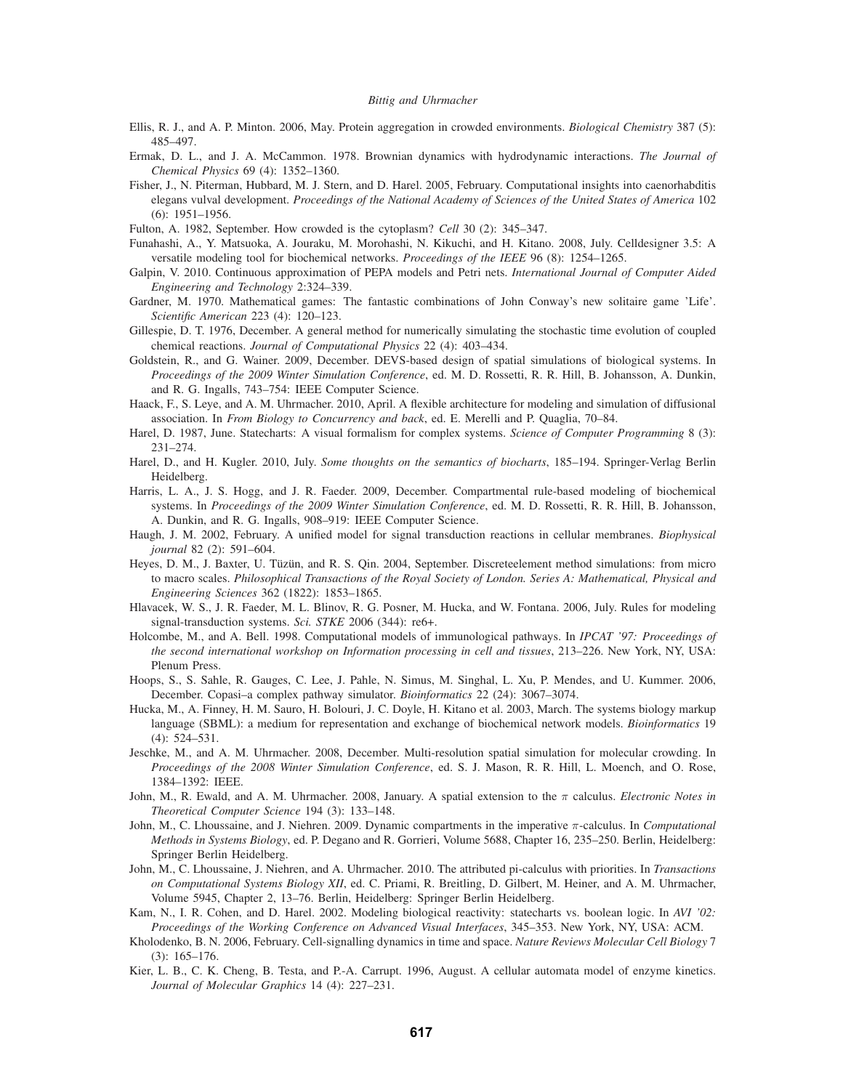- Ellis, R. J., and A. P. Minton. 2006, May. Protein aggregation in crowded environments. *Biological Chemistry* 387 (5): 485–497.
- Ermak, D. L., and J. A. McCammon. 1978. Brownian dynamics with hydrodynamic interactions. *The Journal of Chemical Physics* 69 (4): 1352–1360.
- Fisher, J., N. Piterman, Hubbard, M. J. Stern, and D. Harel. 2005, February. Computational insights into caenorhabditis elegans vulval development. *Proceedings of the National Academy of Sciences of the United States of America* 102 (6): 1951–1956.
- Fulton, A. 1982, September. How crowded is the cytoplasm? *Cell* 30 (2): 345–347.
- Funahashi, A., Y. Matsuoka, A. Jouraku, M. Morohashi, N. Kikuchi, and H. Kitano. 2008, July. Celldesigner 3.5: A versatile modeling tool for biochemical networks. *Proceedings of the IEEE* 96 (8): 1254–1265.
- Galpin, V. 2010. Continuous approximation of PEPA models and Petri nets. *International Journal of Computer Aided Engineering and Technology* 2:324–339.
- Gardner, M. 1970. Mathematical games: The fantastic combinations of John Conway's new solitaire game 'Life'. *Scientific American* 223 (4): 120–123.
- Gillespie, D. T. 1976, December. A general method for numerically simulating the stochastic time evolution of coupled chemical reactions. *Journal of Computational Physics* 22 (4): 403–434.
- Goldstein, R., and G. Wainer. 2009, December. DEVS-based design of spatial simulations of biological systems. In *Proceedings of the 2009 Winter Simulation Conference*, ed. M. D. Rossetti, R. R. Hill, B. Johansson, A. Dunkin, and R. G. Ingalls, 743–754: IEEE Computer Science.
- Haack, F., S. Leye, and A. M. Uhrmacher. 2010, April. A flexible architecture for modeling and simulation of diffusional association. In *From Biology to Concurrency and back*, ed. E. Merelli and P. Quaglia, 70–84.
- Harel, D. 1987, June. Statecharts: A visual formalism for complex systems. *Science of Computer Programming* 8 (3): 231–274.
- Harel, D., and H. Kugler. 2010, July. *Some thoughts on the semantics of biocharts*, 185–194. Springer-Verlag Berlin Heidelberg.
- Harris, L. A., J. S. Hogg, and J. R. Faeder. 2009, December. Compartmental rule-based modeling of biochemical systems. In *Proceedings of the 2009 Winter Simulation Conference*, ed. M. D. Rossetti, R. R. Hill, B. Johansson, A. Dunkin, and R. G. Ingalls, 908–919: IEEE Computer Science.
- Haugh, J. M. 2002, February. A unified model for signal transduction reactions in cellular membranes. *Biophysical journal* 82 (2): 591–604.
- Heyes, D. M., J. Baxter, U. Tüzün, and R. S. Qin. 2004, September. Discreteelement method simulations: from micro to macro scales. *Philosophical Transactions of the Royal Society of London. Series A: Mathematical, Physical and Engineering Sciences* 362 (1822): 1853–1865.
- Hlavacek, W. S., J. R. Faeder, M. L. Blinov, R. G. Posner, M. Hucka, and W. Fontana. 2006, July. Rules for modeling signal-transduction systems. *Sci. STKE* 2006 (344): re6+.
- Holcombe, M., and A. Bell. 1998. Computational models of immunological pathways. In *IPCAT '97: Proceedings of the second international workshop on Information processing in cell and tissues*, 213–226. New York, NY, USA: Plenum Press.
- Hoops, S., S. Sahle, R. Gauges, C. Lee, J. Pahle, N. Simus, M. Singhal, L. Xu, P. Mendes, and U. Kummer. 2006, December. Copasi–a complex pathway simulator. *Bioinformatics* 22 (24): 3067–3074.
- Hucka, M., A. Finney, H. M. Sauro, H. Bolouri, J. C. Doyle, H. Kitano et al. 2003, March. The systems biology markup language (SBML): a medium for representation and exchange of biochemical network models. *Bioinformatics* 19 (4): 524–531.
- Jeschke, M., and A. M. Uhrmacher. 2008, December. Multi-resolution spatial simulation for molecular crowding. In *Proceedings of the 2008 Winter Simulation Conference*, ed. S. J. Mason, R. R. Hill, L. Moench, and O. Rose, 1384–1392: IEEE.
- John, M., R. Ewald, and A. M. Uhrmacher. 2008, January. A spatial extension to the π calculus. *Electronic Notes in Theoretical Computer Science* 194 (3): 133–148.
- John, M., C. Lhoussaine, and J. Niehren. 2009. Dynamic compartments in the imperative π-calculus. In *Computational Methods in Systems Biology*, ed. P. Degano and R. Gorrieri, Volume 5688, Chapter 16, 235–250. Berlin, Heidelberg: Springer Berlin Heidelberg.
- John, M., C. Lhoussaine, J. Niehren, and A. Uhrmacher. 2010. The attributed pi-calculus with priorities. In *Transactions on Computational Systems Biology XII*, ed. C. Priami, R. Breitling, D. Gilbert, M. Heiner, and A. M. Uhrmacher, Volume 5945, Chapter 2, 13–76. Berlin, Heidelberg: Springer Berlin Heidelberg.
- Kam, N., I. R. Cohen, and D. Harel. 2002. Modeling biological reactivity: statecharts vs. boolean logic. In *AVI '02: Proceedings of the Working Conference on Advanced Visual Interfaces*, 345–353. New York, NY, USA: ACM.
- Kholodenko, B. N. 2006, February. Cell-signalling dynamics in time and space. *Nature Reviews Molecular Cell Biology* 7 (3): 165–176.
- Kier, L. B., C. K. Cheng, B. Testa, and P.-A. Carrupt. 1996, August. A cellular automata model of enzyme kinetics. *Journal of Molecular Graphics* 14 (4): 227–231.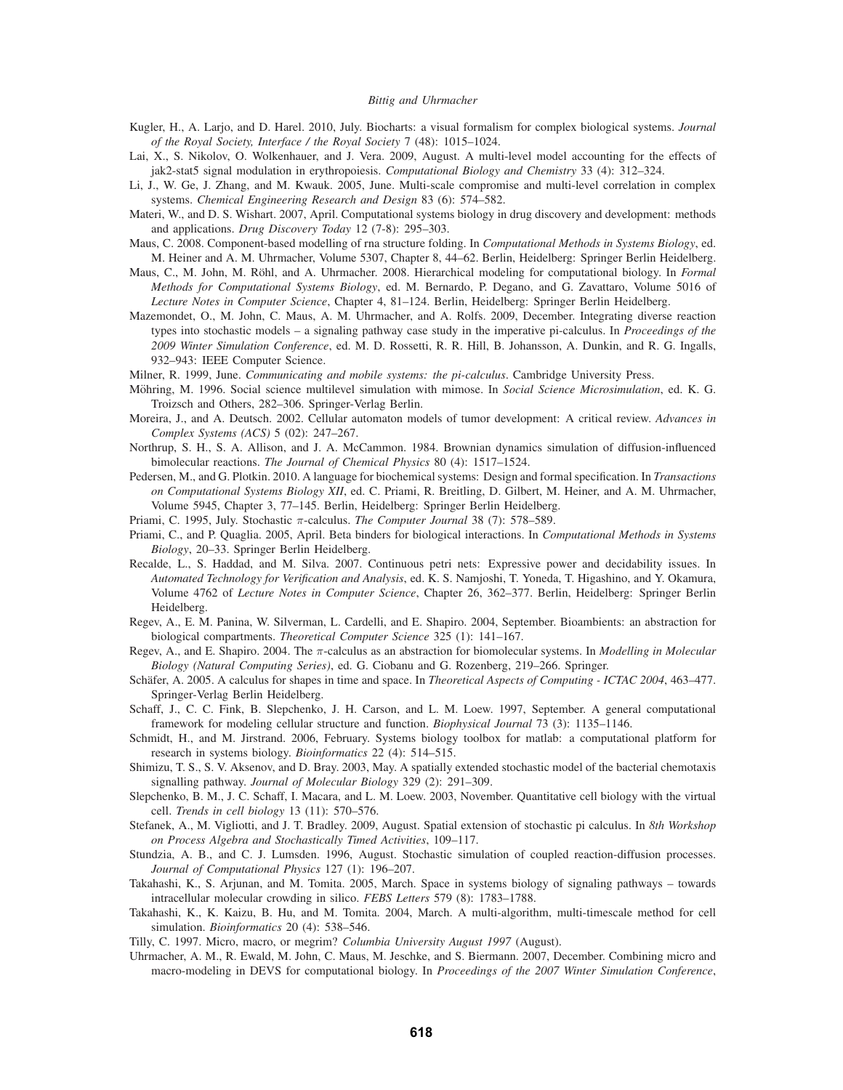- Kugler, H., A. Larjo, and D. Harel. 2010, July. Biocharts: a visual formalism for complex biological systems. *Journal of the Royal Society, Interface / the Royal Society* 7 (48): 1015–1024.
- Lai, X., S. Nikolov, O. Wolkenhauer, and J. Vera. 2009, August. A multi-level model accounting for the effects of jak2-stat5 signal modulation in erythropoiesis. *Computational Biology and Chemistry* 33 (4): 312–324.
- Li, J., W. Ge, J. Zhang, and M. Kwauk. 2005, June. Multi-scale compromise and multi-level correlation in complex systems. *Chemical Engineering Research and Design* 83 (6): 574–582.
- Materi, W., and D. S. Wishart. 2007, April. Computational systems biology in drug discovery and development: methods and applications. *Drug Discovery Today* 12 (7-8): 295–303.
- Maus, C. 2008. Component-based modelling of rna structure folding. In *Computational Methods in Systems Biology*, ed. M. Heiner and A. M. Uhrmacher, Volume 5307, Chapter 8, 44–62. Berlin, Heidelberg: Springer Berlin Heidelberg.
- Maus, C., M. John, M. Röhl, and A. Uhrmacher. 2008. Hierarchical modeling for computational biology. In *Formal Methods for Computational Systems Biology*, ed. M. Bernardo, P. Degano, and G. Zavattaro, Volume 5016 of *Lecture Notes in Computer Science*, Chapter 4, 81–124. Berlin, Heidelberg: Springer Berlin Heidelberg.
- Mazemondet, O., M. John, C. Maus, A. M. Uhrmacher, and A. Rolfs. 2009, December. Integrating diverse reaction types into stochastic models – a signaling pathway case study in the imperative pi-calculus. In *Proceedings of the 2009 Winter Simulation Conference*, ed. M. D. Rossetti, R. R. Hill, B. Johansson, A. Dunkin, and R. G. Ingalls, 932–943: IEEE Computer Science.

Milner, R. 1999, June. *Communicating and mobile systems: the pi-calculus*. Cambridge University Press.

- Möhring, M. 1996. Social science multilevel simulation with mimose. In Social Science Microsimulation, ed. K. G. Troizsch and Others, 282–306. Springer-Verlag Berlin.
- Moreira, J., and A. Deutsch. 2002. Cellular automaton models of tumor development: A critical review. *Advances in Complex Systems (ACS)* 5 (02): 247–267.
- Northrup, S. H., S. A. Allison, and J. A. McCammon. 1984. Brownian dynamics simulation of diffusion-influenced bimolecular reactions. *The Journal of Chemical Physics* 80 (4): 1517–1524.
- Pedersen, M., and G. Plotkin. 2010. A language for biochemical systems: Design and formal specification. In *Transactions on Computational Systems Biology XII*, ed. C. Priami, R. Breitling, D. Gilbert, M. Heiner, and A. M. Uhrmacher, Volume 5945, Chapter 3, 77–145. Berlin, Heidelberg: Springer Berlin Heidelberg.
- Priami, C. 1995, July. Stochastic π-calculus. *The Computer Journal* 38 (7): 578–589.
- Priami, C., and P. Quaglia. 2005, April. Beta binders for biological interactions. In *Computational Methods in Systems Biology*, 20–33. Springer Berlin Heidelberg.
- Recalde, L., S. Haddad, and M. Silva. 2007. Continuous petri nets: Expressive power and decidability issues. In *Automated Technology for Verification and Analysis*, ed. K. S. Namjoshi, T. Yoneda, T. Higashino, and Y. Okamura, Volume 4762 of *Lecture Notes in Computer Science*, Chapter 26, 362–377. Berlin, Heidelberg: Springer Berlin Heidelberg.
- Regev, A., E. M. Panina, W. Silverman, L. Cardelli, and E. Shapiro. 2004, September. Bioambients: an abstraction for biological compartments. *Theoretical Computer Science* 325 (1): 141–167.
- Regev, A., and E. Shapiro. 2004. The π-calculus as an abstraction for biomolecular systems. In *Modelling in Molecular Biology (Natural Computing Series)*, ed. G. Ciobanu and G. Rozenberg, 219–266. Springer.
- Schäfer, A. 2005. A calculus for shapes in time and space. In *Theoretical Aspects of Computing ICTAC 2004*, 463–477. Springer-Verlag Berlin Heidelberg.
- Schaff, J., C. C. Fink, B. Slepchenko, J. H. Carson, and L. M. Loew. 1997, September. A general computational framework for modeling cellular structure and function. *Biophysical Journal* 73 (3): 1135–1146.
- Schmidt, H., and M. Jirstrand. 2006, February. Systems biology toolbox for matlab: a computational platform for research in systems biology. *Bioinformatics* 22 (4): 514–515.
- Shimizu, T. S., S. V. Aksenov, and D. Bray. 2003, May. A spatially extended stochastic model of the bacterial chemotaxis signalling pathway. *Journal of Molecular Biology* 329 (2): 291–309.
- Slepchenko, B. M., J. C. Schaff, I. Macara, and L. M. Loew. 2003, November. Quantitative cell biology with the virtual cell. *Trends in cell biology* 13 (11): 570–576.
- Stefanek, A., M. Vigliotti, and J. T. Bradley. 2009, August. Spatial extension of stochastic pi calculus. In *8th Workshop on Process Algebra and Stochastically Timed Activities*, 109–117.
- Stundzia, A. B., and C. J. Lumsden. 1996, August. Stochastic simulation of coupled reaction-diffusion processes. *Journal of Computational Physics* 127 (1): 196–207.
- Takahashi, K., S. Arjunan, and M. Tomita. 2005, March. Space in systems biology of signaling pathways towards intracellular molecular crowding in silico. *FEBS Letters* 579 (8): 1783–1788.
- Takahashi, K., K. Kaizu, B. Hu, and M. Tomita. 2004, March. A multi-algorithm, multi-timescale method for cell simulation. *Bioinformatics* 20 (4): 538–546.
- Tilly, C. 1997. Micro, macro, or megrim? *Columbia University August 1997* (August).
- Uhrmacher, A. M., R. Ewald, M. John, C. Maus, M. Jeschke, and S. Biermann. 2007, December. Combining micro and macro-modeling in DEVS for computational biology. In *Proceedings of the 2007 Winter Simulation Conference*,